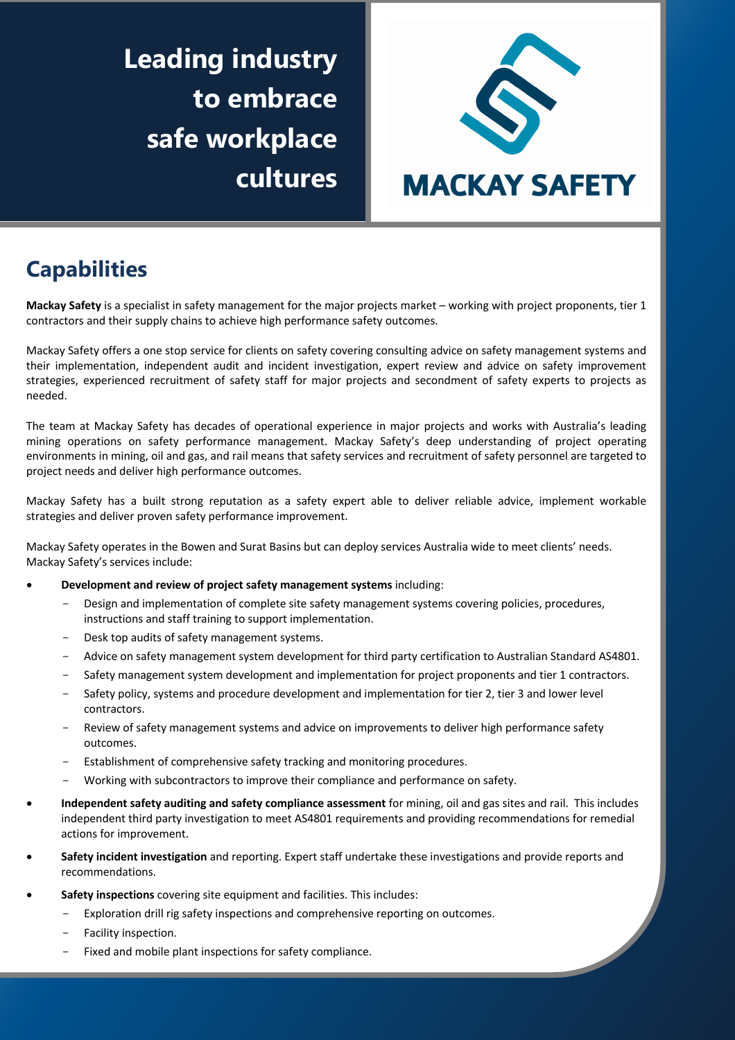**Leading industry to embrace safe workplace cultures**



# **Capabilities**

**Mackay Safety** is a specialist in safety management for the major projects market – working with project proponents, tier 1 contractors and their supply chains to achieve high performance safety outcomes.

Mackay Safety offers a one stop service for clients on safety covering consulting advice on safety management systems and their implementation, independent audit and incident investigation, expert review and advice on safety improvement strategies, experienced recruitment of safety staff for major projects and secondment of safety experts to projects as needed.

The team at Mackay Safety has decades of operational experience in major projects and works with Australia's leading mining operations on safety performance management. Mackay Safety's deep understanding of project operating environments in mining, oil and gas, and rail means that safety services and recruitment of safety personnel are targeted to project needs and deliver high performance outcomes.

Mackay Safety has a built strong reputation as a safety expert able to deliver reliable advice, implement workable strategies and deliver proven safety performance improvement.

Mackay Safety operates in the Bowen and Surat Basins but can deploy services Australia wide to meet clients' needs. Mackay Safety's services include:

#### • **Development and review of project safety management systems** including:

- Design and implementation of complete site safety management systems covering policies, procedures, instructions and staff training to support implementation.
- Desk top audits of safety management systems.
- Advice on safety management system development for third party certification to Australian Standard AS4801.
- Safety management system development and implementation for project proponents and tier 1 contractors.
- Safety policy, systems and procedure development and implementation for tier 2, tier 3 and lower level contractors.
- Review of safety management systems and advice on improvements to deliver high performance safety outcomes.
- Establishment of comprehensive safety tracking and monitoring procedures.
- Working with subcontractors to improve their compliance and performance on safety.
- **Independent safety auditing and safety compliance assessment** for mining, oil and gas sites and rail. This includes independent third party investigation to meet AS4801 requirements and providing recommendations for remedial actions for improvement.
- **Safety incident investigation** and reporting. Expert staff undertake these investigations and provide reports and recommendations.
- **Safety inspections** covering site equipment and facilities. This includes:
	- Exploration drill rig safety inspections and comprehensive reporting on outcomes.
	- Facility inspection.
	- Fixed and mobile plant inspections for safety compliance.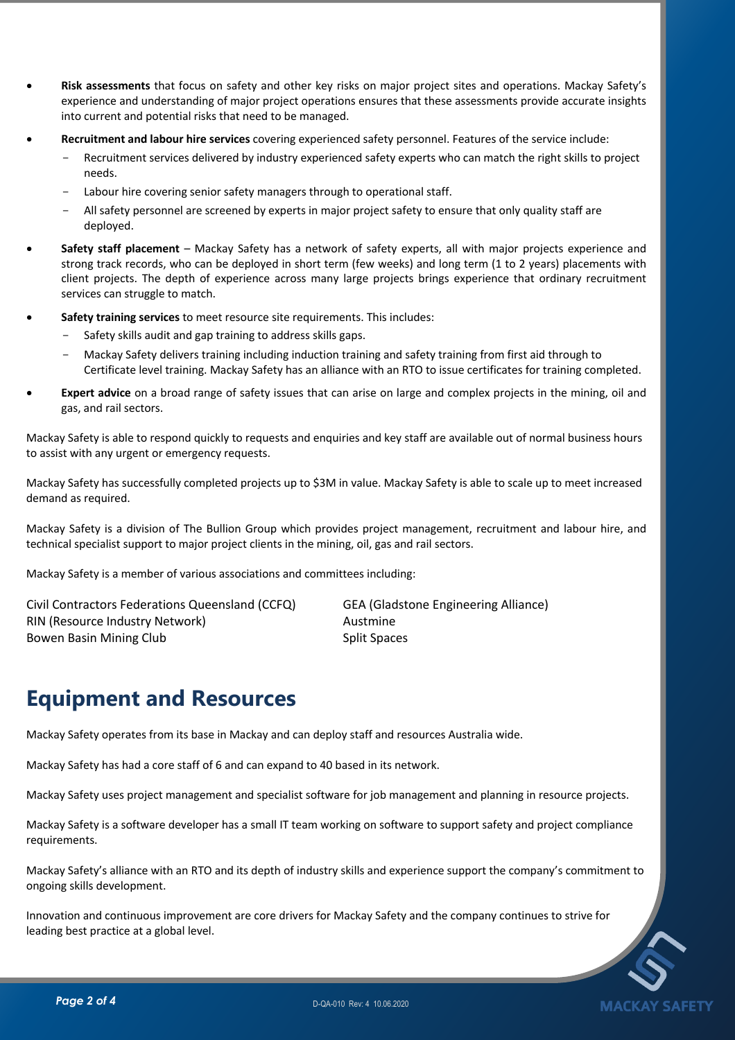- **Risk assessments** that focus on safety and other key risks on major project sites and operations. Mackay Safety's experience and understanding of major project operations ensures that these assessments provide accurate insights into current and potential risks that need to be managed.
- **Recruitment and labour hire services** covering experienced safety personnel. Features of the service include:
	- Recruitment services delivered by industry experienced safety experts who can match the right skills to project needs.
	- Labour hire covering senior safety managers through to operational staff.
	- All safety personnel are screened by experts in major project safety to ensure that only quality staff are deployed.
- **Safety staff placement**  Mackay Safety has a network of safety experts, all with major projects experience and strong track records, who can be deployed in short term (few weeks) and long term (1 to 2 years) placements with client projects. The depth of experience across many large projects brings experience that ordinary recruitment services can struggle to match.
- **Safety training services** to meet resource site requirements. This includes:
	- Safety skills audit and gap training to address skills gaps.
	- Mackay Safety delivers training including induction training and safety training from first aid through to Certificate level training. Mackay Safety has an alliance with an RTO to issue certificates for training completed.
- Expert advice on a broad range of safety issues that can arise on large and complex projects in the mining, oil and gas, and rail sectors.

Mackay Safety is able to respond quickly to requests and enquiries and key staff are available out of normal business hours to assist with any urgent or emergency requests.

Mackay Safety has successfully completed projects up to \$3M in value. Mackay Safety is able to scale up to meet increased demand as required.

Mackay Safety is a division of The Bullion Group which provides project management, recruitment and labour hire, and technical specialist support to major project clients in the mining, oil, gas and rail sectors.

Mackay Safety is a member of various associations and committees including:

Civil Contractors Federations Queensland (CCFQ) GEA (Gladstone Engineering Alliance) RIN (Resource Industry Network) and a metal control and Austmine Bowen Basin Mining Club Split Spaces

## **Equipment and Resources**

Mackay Safety operates from its base in Mackay and can deploy staff and resources Australia wide.

Mackay Safety has had a core staff of 6 and can expand to 40 based in its network.

Mackay Safety uses project management and specialist software for job management and planning in resource projects.

Mackay Safety is a software developer has a small IT team working on software to support safety and project compliance requirements.

Mackay Safety's alliance with an RTO and its depth of industry skills and experience support the company's commitment to ongoing skills development.

Innovation and continuous improvement are core drivers for Mackay Safety and the company continues to strive for leading best practice at a global level.

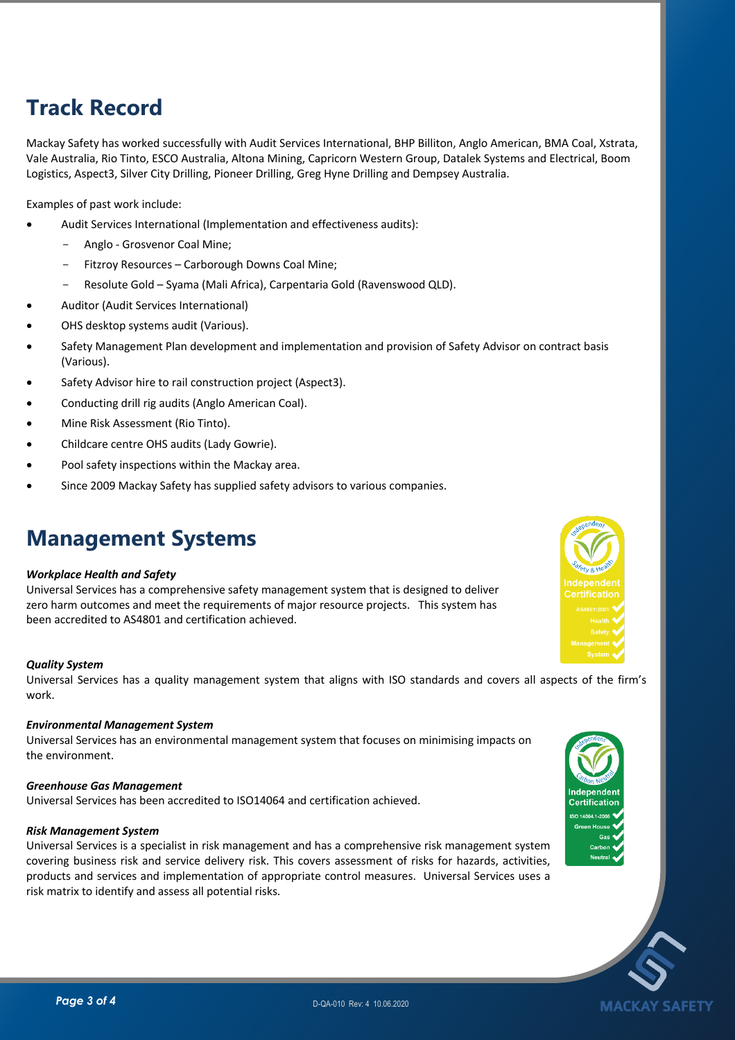# **Track Record**

Mackay Safety has worked successfully with Audit Services International, BHP Billiton, Anglo American, BMA Coal, Xstrata, Vale Australia, Rio Tinto, ESCO Australia, Altona Mining, Capricorn Western Group, Datalek Systems and Electrical, Boom Logistics, Aspect3, Silver City Drilling, Pioneer Drilling, Greg Hyne Drilling and Dempsey Australia.

Examples of past work include:

- Audit Services International (Implementation and effectiveness audits):
	- Anglo Grosvenor Coal Mine;
	- Fitzroy Resources Carborough Downs Coal Mine;
	- Resolute Gold Syama (Mali Africa), Carpentaria Gold (Ravenswood QLD).
- Auditor (Audit Services International)
- OHS desktop systems audit (Various).
- Safety Management Plan development and implementation and provision of Safety Advisor on contract basis (Various).
- Safety Advisor hire to rail construction project (Aspect3).
- Conducting drill rig audits (Anglo American Coal).
- Mine Risk Assessment (Rio Tinto).
- Childcare centre OHS audits (Lady Gowrie).
- Pool safety inspections within the Mackay area.
- Since 2009 Mackay Safety has supplied safety advisors to various companies.

### **Management Systems**

#### *Workplace Health and Safety*

Universal Services has a comprehensive safety management system that is designed to deliver zero harm outcomes and meet the requirements of major resource projects. This system has been accredited to AS4801 and certification achieved.

#### *Quality System*

Universal Services has a quality management system that aligns with ISO standards and covers all aspects of the firm's work.

#### *Environmental Management System*

Universal Services has an environmental management system that focuses on minimising impacts on the environment.

#### *Greenhouse Gas Management*

Universal Services has been accredited to ISO14064 and certification achieved.

#### *Risk Management System*

Universal Services is a specialist in risk management and has a comprehensive risk management system covering business risk and service delivery risk. This covers assessment of risks for hazards, activities, products and services and implementation of appropriate control measures. Universal Services uses a risk matrix to identify and assess all potential risks.